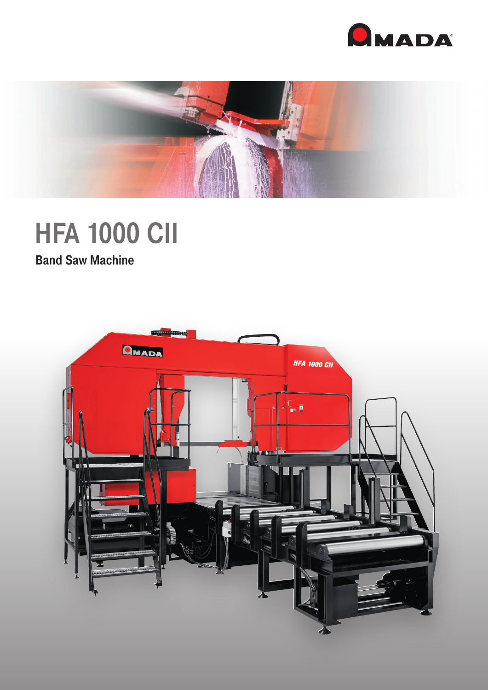



# **HFA 1000 CII**

Band Saw Machine